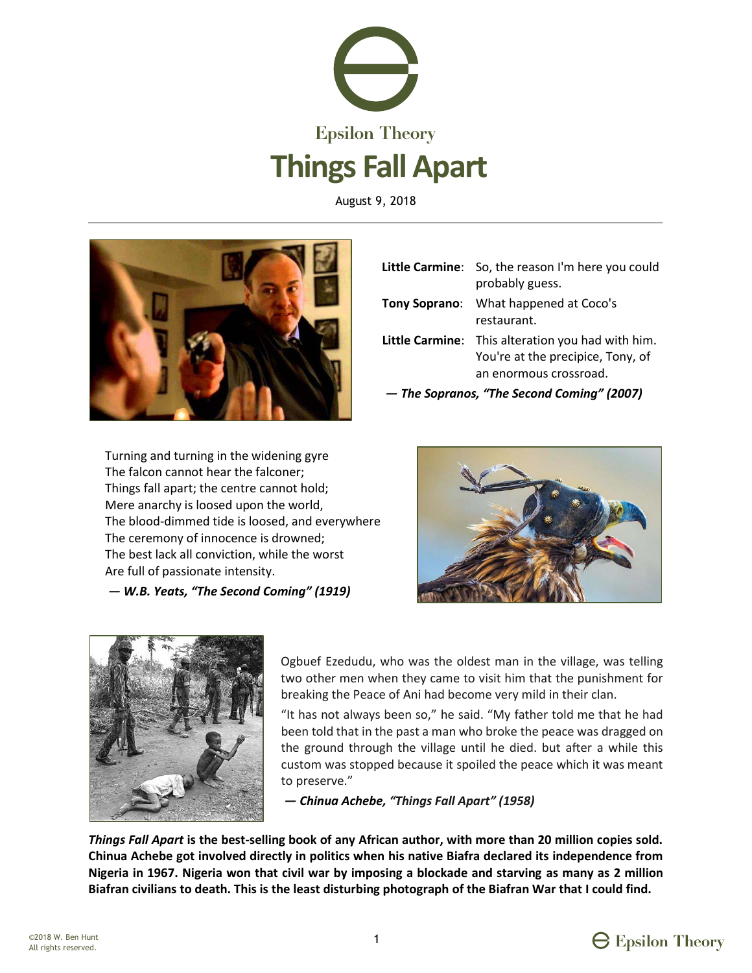

August 9, 2018



|                                            | Little Carmine: So, the reason I'm here you could<br>probably guess.                                             |
|--------------------------------------------|------------------------------------------------------------------------------------------------------------------|
|                                            | Tony Soprano: What happened at Coco's<br>restaurant.                                                             |
|                                            | Little Carmine: This alteration you had with him.<br>You're at the precipice, Tony, of<br>an enormous crossroad. |
| - The Sopranos, "The Second Coming" (2007) |                                                                                                                  |

Turning and turning in the widening gyre The falcon cannot hear the falconer; Things fall apart; the centre cannot hold; Mere anarchy is loosed upon the world, The blood-dimmed tide is loosed, and everywhere The ceremony of innocence is drowned; The best lack all conviction, while the worst Are full of passionate intensity.

**— W.B. Yeats, "The Second Coming" (1919)** 





Ogbuef Ezedudu, who was the oldest man in the village, was telling two other men when they came to visit him that the punishment for breaking the Peace of Ani had become very mild in their clan.

"It has not always been so," he said. "My father told me that he had been told that in the past a man who broke the peace was dragged on the ground through the village until he died. but after a while this custom was stopped because it spoiled the peace which it was meant to preserve."

 $-$  *Chinua Achebe, "Things Fall Apart" (1958)* 

*Things Fall Apart* **is the best-selling book of any African author, with more than 20 million copies sold. Chinua Achebe got involved directly in politics when his native Biafra declared its independence from Nigeria in 1967. Nigeria won that civil war by imposing a blockade and starving as many as 2 million Biafran civilians to death. This is the least disturbing photograph of the Biafran War that I could find.** 

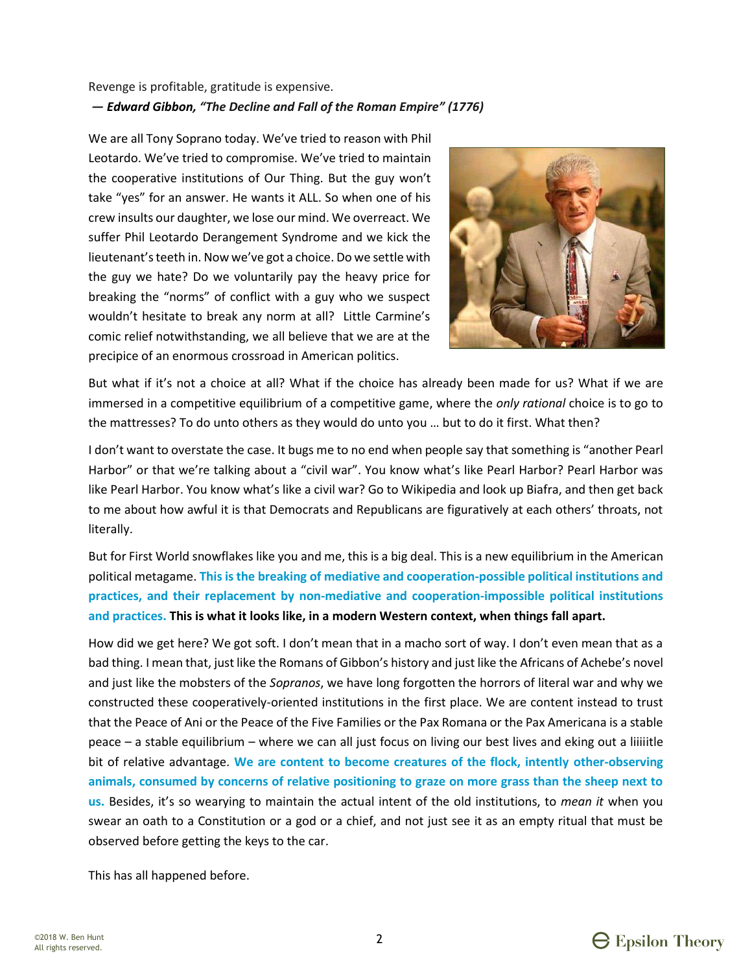### Revenge is profitable, gratitude is expensive. - Edward Gibbon, "The Decline and Fall of the Roman Empire" (1776)

We are all Tony Soprano today. We've tried to reason with Phil Leotardo. We've tried to compromise. We've tried to maintain the cooperative institutions of Our Thing. But the guy won't take "yes" for an answer. He wants it ALL. So when one of his crew insults our daughter, we lose our mind. We overreact. We suffer Phil Leotardo Derangement Syndrome and we kick the lieutenant's teeth in. Now we've got a choice. Do we settle with the guy we hate? Do we voluntarily pay the heavy price for breaking the "norms" of conflict with a guy who we suspect wouldn't hesitate to break any norm at all? Little Carmine's comic relief notwithstanding, we all believe that we are at the precipice of an enormous crossroad in American politics.



But what if it's not a choice at all? What if the choice has already been made for us? What if we are immersed in a competitive equilibrium of a competitive game, where the only rational choice is to go to the mattresses? To do unto others as they would do unto you ... but to do it first. What then?

I don't want to overstate the case. It bugs me to no end when people say that something is "another Pearl" Harbor" or that we're talking about a "civil war". You know what's like Pearl Harbor? Pearl Harbor was like Pearl Harbor. You know what's like a civil war? Go to Wikipedia and look up Biafra, and then get back to me about how awful it is that Democrats and Republicans are figuratively at each others' throats, not literally.

But for First World snowflakes like you and me, this is a big deal. This is a new equilibrium in the American political metagame. This is the breaking of mediative and cooperation-possible political institutions and practices, and their replacement by non-mediative and cooperation-impossible political institutions and practices. This is what it looks like, in a modern Western context, when things fall apart.

How did we get here? We got soft. I don't mean that in a macho sort of way. I don't even mean that as a bad thing. I mean that, just like the Romans of Gibbon's history and just like the Africans of Achebe's novel and just like the mobsters of the Sopranos, we have long forgotten the horrors of literal war and why we constructed these cooperatively-oriented institutions in the first place. We are content instead to trust that the Peace of Ani or the Peace of the Five Families or the Pax Romana or the Pax Americana is a stable peace – a stable equilibrium – where we can all just focus on living our best lives and eking out a liiiithe bit of relative advantage. We are content to become creatures of the flock, intently other-observing animals, consumed by concerns of relative positioning to graze on more grass than the sheep next to us. Besides, it's so wearying to maintain the actual intent of the old institutions, to mean it when you swear an oath to a Constitution or a god or a chief, and not just see it as an empty ritual that must be observed before getting the keys to the car.

This has all happened before.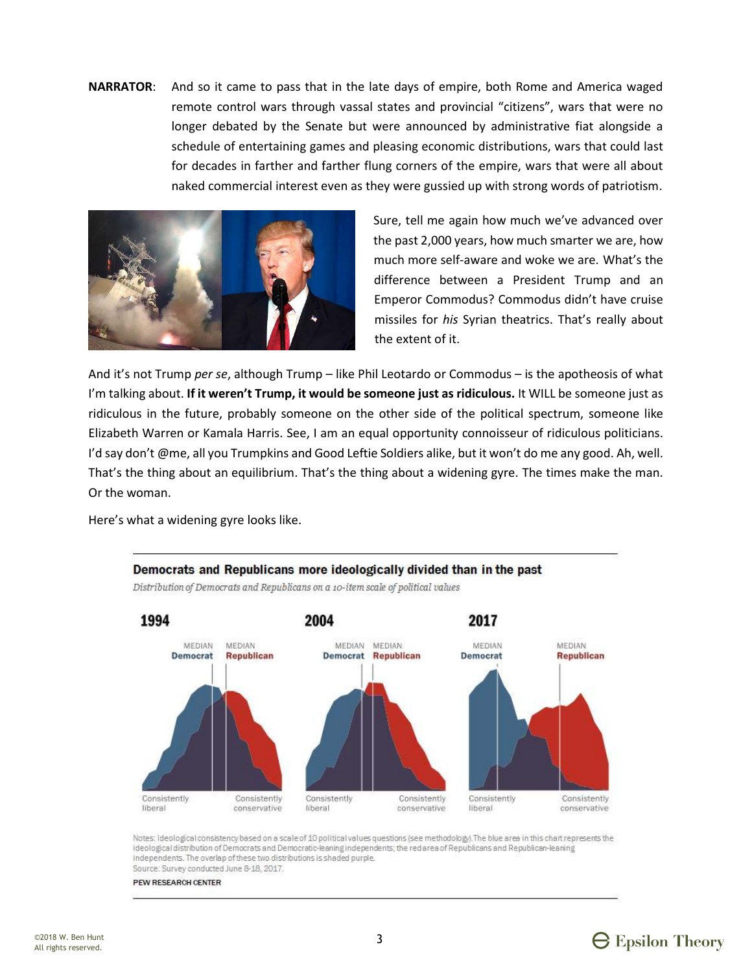**NARRATOR:** And so it came to pass that in the late days of empire, both Rome and America waged remote control wars through vassal states and provincial "citizens", wars that were no longer debated by the Senate but were announced by administrative fiat alongside a schedule of entertaining games and pleasing economic distributions, wars that could last for decades in farther and farther flung corners of the empire, wars that were all about naked commercial interest even as they were gussied up with strong words of patriotism.



Sure, tell me again how much we've advanced over the past 2,000 years, how much smarter we are, how much more self-aware and woke we are. What's the difference between a President Trump and an Emperor Commodus? Commodus didn't have cruise missiles for his Syrian theatrics. That's really about the extent of it.

And it's not Trump per se, although Trump - like Phil Leotardo or Commodus - is the apotheosis of what I'm talking about. If it weren't Trump, it would be someone just as ridiculous. It WILL be someone just as ridiculous in the future, probably someone on the other side of the political spectrum, someone like Elizabeth Warren or Kamala Harris. See, I am an equal opportunity connoisseur of ridiculous politicians. I'd say don't @me, all you Trumpkins and Good Leftie Soldiers alike, but it won't do me any good. Ah, well. That's the thing about an equilibrium. That's the thing about a widening gyre. The times make the man. Or the woman.

Here's what a widening gyre looks like.



Notes: Ideological consistency based on a scale of 10 political values questions (see methodology). The blue area in this chart represents the ideological distribution of Democrats and Democratic-leaning independents; the red area of Republicans and Republican-leaning independents. The overlap of these two distributions is shaded purple.

Source: Survey conducted June 8-18, 2017.

PEW RESEARCH CENTER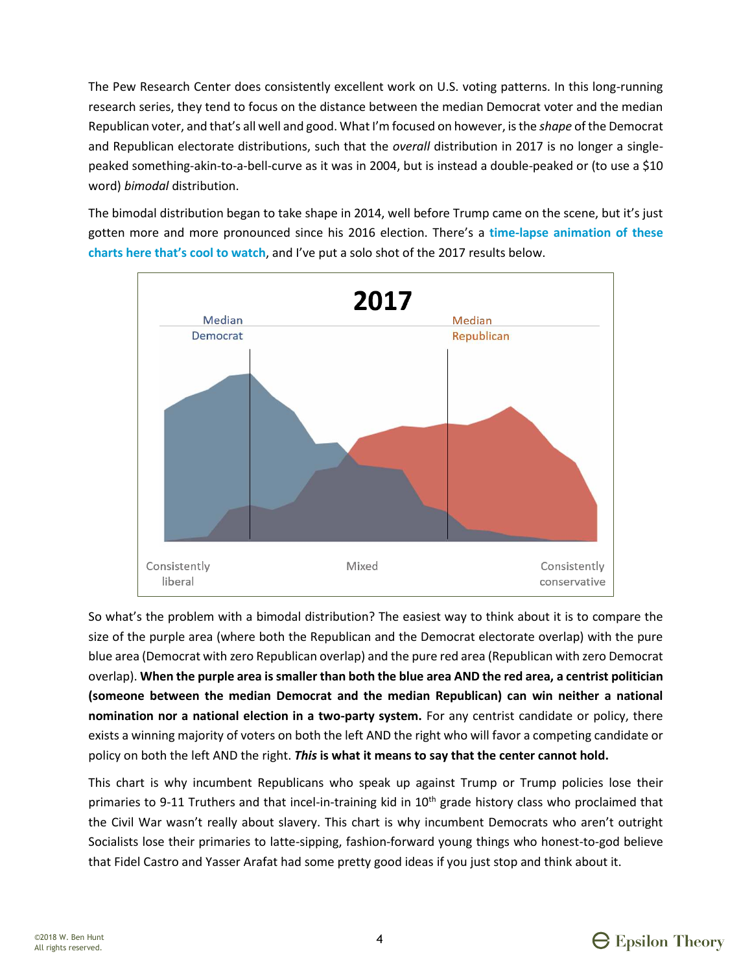The Pew Research Center does consistently excellent work on U.S. voting patterns. In this long-running research series, they tend to focus on the distance between the median Democrat voter and the median Republican voter, and that's all well and good. What I'm focused on however, is the *shape* of the Democrat and Republican electorate distributions, such that the overall distribution in 2017 is no longer a singlepeaked something-akin-to-a-bell-curve as it was in 2004, but is instead a double-peaked or (to use a \$10 word) bimodal distribution.

The bimodal distribution began to take shape in 2014, well before Trump came on the scene, but it's just gotten more and more pronounced since his 2016 election. There's a time-lapse animation of these charts here that's cool to watch, and I've put a solo shot of the 2017 results below.



So what's the problem with a bimodal distribution? The easiest way to think about it is to compare the size of the purple area (where both the Republican and the Democrat electorate overlap) with the pure blue area (Democrat with zero Republican overlap) and the pure red area (Republican with zero Democrat overlap). When the purple area is smaller than both the blue area AND the red area, a centrist politician (someone between the median Democrat and the median Republican) can win neither a national nomination nor a national election in a two-party system. For any centrist candidate or policy, there exists a winning majority of voters on both the left AND the right who will favor a competing candidate or policy on both the left AND the right. This is what it means to say that the center cannot hold.

This chart is why incumbent Republicans who speak up against Trump or Trump policies lose their primaries to 9-11 Truthers and that incel-in-training kid in 10<sup>th</sup> grade history class who proclaimed that the Civil War wasn't really about slavery. This chart is why incumbent Democrats who aren't outright Socialists lose their primaries to latte-sipping, fashion-forward young things who honest-to-god believe that Fidel Castro and Yasser Arafat had some pretty good ideas if you just stop and think about it.

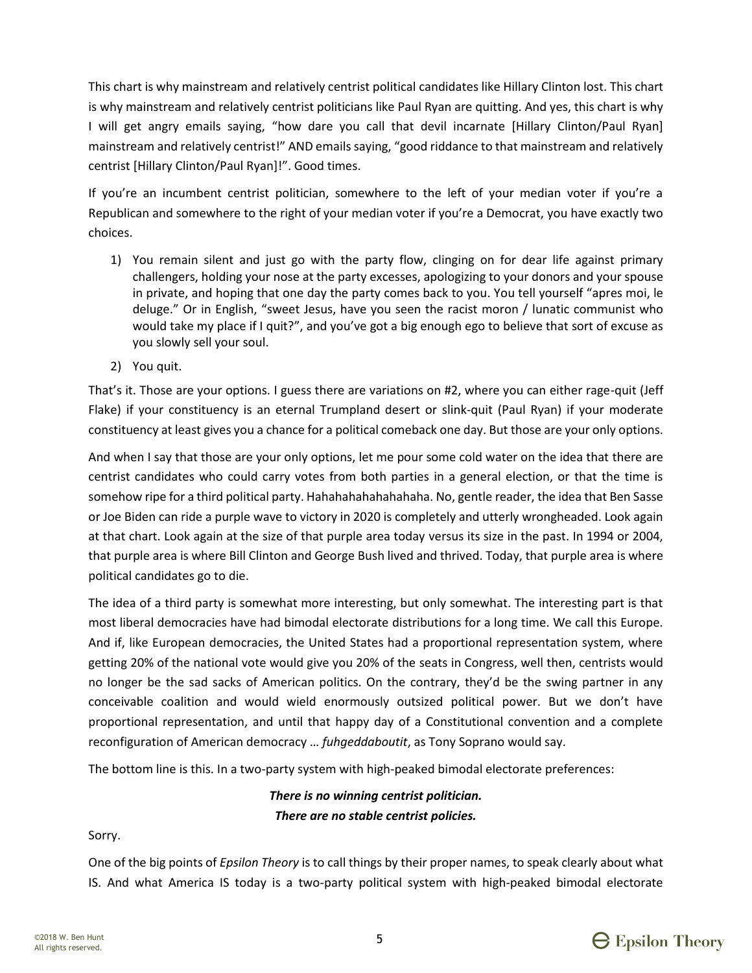This chart is why mainstream and relatively centrist political candidates like Hillary Clinton lost. This chart is why mainstream and relatively centrist politicians like Paul Ryan are quitting. And yes, this chart is why I will get angry emails saying, "how dare you call that devil incarnate [Hillary Clinton/Paul Ryan] mainstream and relatively centrist!" AND emails saying, "good riddance to that mainstream and relatively centrist [Hillary Clinton/Paul Ryan]!". Good times.

If you're an incumbent centrist politician, somewhere to the left of your median voter if you're a Republican and somewhere to the right of your median voter if you're a Democrat, you have exactly two choices.

- 1) You remain silent and just go with the party flow, clinging on for dear life against primary challengers, holding your nose at the party excesses, apologizing to your donors and your spouse in private, and hoping that one day the party comes back to you. You tell yourself "apres moi, le deluge." Or in English, "sweet Jesus, have you seen the racist moron / lunatic communist who would take my place if I quit?", and you've got a big enough ego to believe that sort of excuse as you slowly sell your soul.
- 2) You quit.

That's it. Those are your options. I guess there are variations on #2, where you can either rage-quit (Jeff Flake) if your constituency is an eternal Trumpland desert or slink-quit (Paul Ryan) if your moderate constituency at least gives you a chance for a political comeback one day. But those are your only options.

And when I say that those are your only options, let me pour some cold water on the idea that there are centrist candidates who could carry votes from both parties in a general election, or that the time is somehow ripe for a third political party. Hahahahahahahahaha. No, gentle reader, the idea that Ben Sasse or Joe Biden can ride a purple wave to victory in 2020 is completely and utterly wrongheaded. Look again at that chart. Look again at the size of that purple area today versus its size in the past. In 1994 or 2004, that purple area is where Bill Clinton and George Bush lived and thrived. Today, that purple area is where political candidates go to die.

The idea of a third party is somewhat more interesting, but only somewhat. The interesting part is that most liberal democracies have had bimodal electorate distributions for a long time. We call this Europe. And if, like European democracies, the United States had a proportional representation system, where getting 20% of the national vote would give you 20% of the seats in Congress, well then, centrists would no longer be the sad sacks of American politics. On the contrary, they'd be the swing partner in any conceivable coalition and would wield enormously outsized political power. But we don't have proportional representation, and until that happy day of a Constitutional convention and a complete reconfiguration of American democracy ... *fuhgeddaboutit*, as Tony Soprano would say.

The bottom line is this. In a two-party system with high-peaked bimodal electorate preferences:

## *There is no winning centrist politician. There are no stable centrist policies.*

Sorry.

One of the big points of *Epsilon Theory* is to call things by their proper names, to speak clearly about what IS. And what America IS today is a two-party political system with high-peaked bimodal electorate

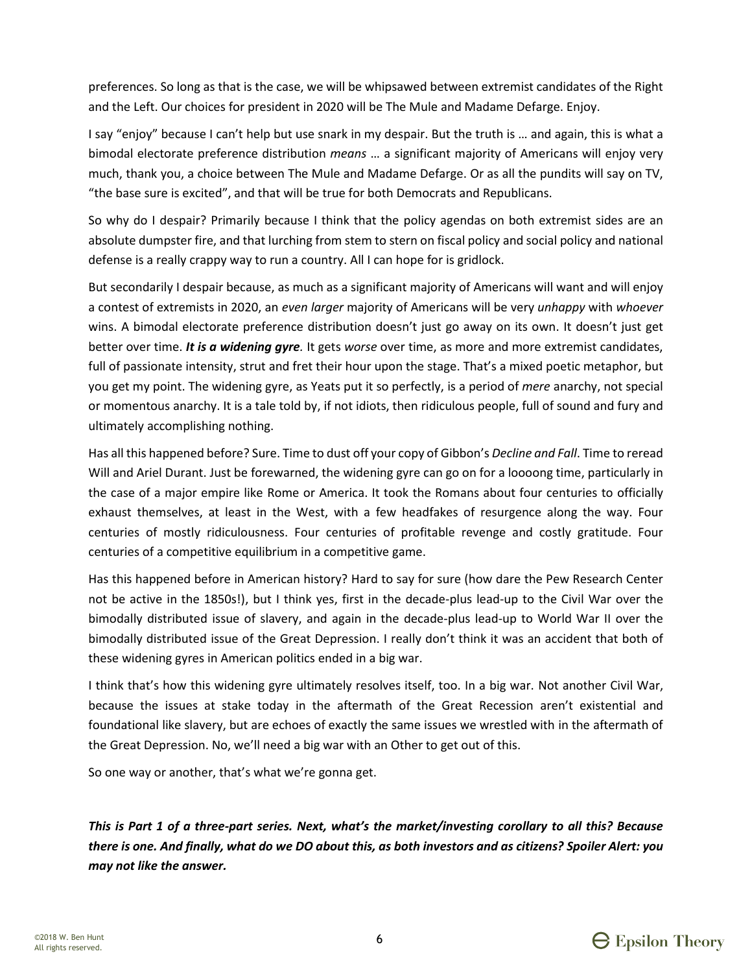preferences. So long as that is the case, we will be whipsawed between extremist candidates of the Right and the Left. Our choices for president in 2020 will be The Mule and Madame Defarge. Enjoy.

I say "enjoy" because I can't help but use snark in my despair. But the truth is ... and again, this is what a bimodal electorate preference distribution *means* … a significant majority of Americans will enjoy very much, thank you, a choice between The Mule and Madame Defarge. Or as all the pundits will say on TV, ͞the base sure is excited͟, and that will be true for both Democrats and Republicans.

So why do I despair? Primarily because I think that the policy agendas on both extremist sides are an absolute dumpster fire, and that lurching from stem to stern on fiscal policy and social policy and national defense is a really crappy way to run a country. All I can hope for is gridlock.

But secondarily I despair because, as much as a significant majority of Americans will want and will enjoy a contest of extremists in 2020, an *even larger* majority of Americans will be very *unhappy* with *whoever* wins. A bimodal electorate preference distribution doesn't just go away on its own. It doesn't just get better over time. *It is a widening gyre.* It gets *worse* over time, as more and more extremist candidates, full of passionate intensity, strut and fret their hour upon the stage. That's a mixed poetic metaphor, but you get my point. The widening gyre, as Yeats put it so perfectly, is a period of *mere* anarchy, not special or momentous anarchy. It is a tale told by, if not idiots, then ridiculous people, full of sound and fury and ultimately accomplishing nothing.

Has all this happened before? Sure. Time to dust off your copy of Gibbon's *Decline and Fall*. Time to reread Will and Ariel Durant. Just be forewarned, the widening gyre can go on for a loooong time, particularly in the case of a major empire like Rome or America. It took the Romans about four centuries to officially exhaust themselves, at least in the West, with a few headfakes of resurgence along the way. Four centuries of mostly ridiculousness. Four centuries of profitable revenge and costly gratitude. Four centuries of a competitive equilibrium in a competitive game.

Has this happened before in American history? Hard to say for sure (how dare the Pew Research Center not be active in the 1850s!), but I think yes, first in the decade-plus lead-up to the Civil War over the bimodally distributed issue of slavery, and again in the decade-plus lead-up to World War II over the bimodally distributed issue of the Great Depression. I really don't think it was an accident that both of these widening gyres in American politics ended in a big war.

I think that's how this widening gyre ultimately resolves itself, too. In a big war. Not another Civil War, because the issues at stake today in the aftermath of the Great Recession aren't existential and foundational like slavery, but are echoes of exactly the same issues we wrestled with in the aftermath of the Great Depression. No, we'll need a big war with an Other to get out of this.

So one way or another, that's what we're gonna get.

*This is Part 1 of a three-part series. Next, what's the market/investing corollary to all this? Because there is one. And finally, what do we DO about this, as both investors and as citizens? Spoiler Alert: you may not like the answer.*